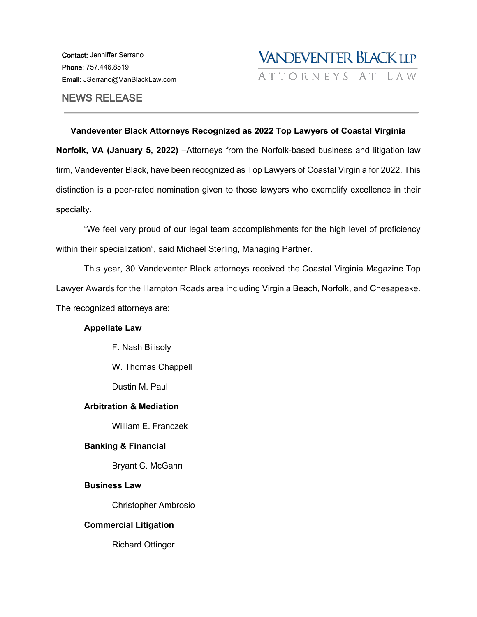

# NEWS RELEASE

## **Vandeventer Black Attorneys Recognized as 2022 Top Lawyers of Coastal Virginia**

**Norfolk, VA (January 5, 2022)** –Attorneys from the Norfolk-based business and litigation law firm, Vandeventer Black, have been recognized as Top Lawyers of Coastal Virginia for 2022. This distinction is a peer-rated nomination given to those lawyers who exemplify excellence in their specialty.

"We feel very proud of our legal team accomplishments for the high level of proficiency within their specialization", said Michael Sterling, Managing Partner.

This year, 30 Vandeventer Black attorneys received the [Coastal Virginia Magazine](http://vanblack.ciniva.net/uncategorized/24-vandeventer-black-llp-attorneys-made-coastal-virginia-magazine-top-lawyers-list/) Top Lawyer Awards for the Hampton Roads area including Virginia Beach, Norfolk, and Chesapeake. The recognized attorneys are:

# **Appellate Law**

F. Nash Bilisoly

W. Thomas Chappell

Dustin M. Paul

#### **Arbitration & Mediation**

William E. Franczek

# **Banking & Financial**

Bryant C. McGann

#### **Business Law**

Christopher Ambrosio

# **Commercial Litigation**

Richard Ottinger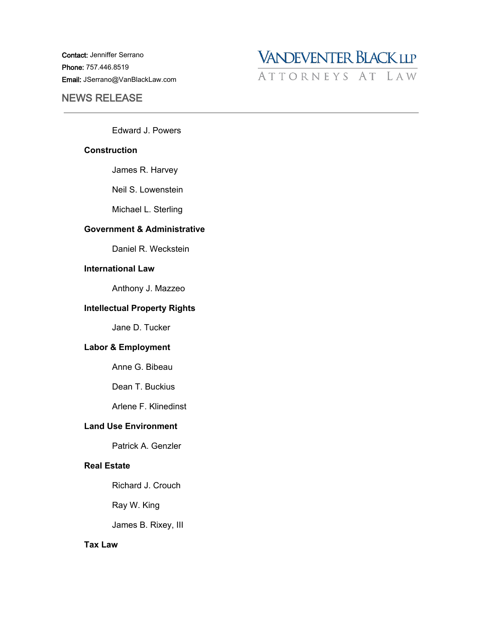Contact: Jenniffer Serrano Phone: 757.446.8519 Email: JSerrano@VanBlackLaw.com

# NEWS RELEASE



Edward J. Powers

#### **Construction**

James R. Harvey

Neil S. Lowenstein

Michael L. Sterling

#### **Government & Administrative**

Daniel R. Weckstein

# **International Law**

Anthony J. Mazzeo

#### **Intellectual Property Rights**

Jane D. Tucker

## **Labor & Employment**

Anne G. Bibeau

Dean T. Buckius

Arlene F. Klinedinst

# **Land Use Environment**

Patrick A. Genzler

# **Real Estate**

Richard J. Crouch

Ray W. King

James B. Rixey, III

# **Tax Law**